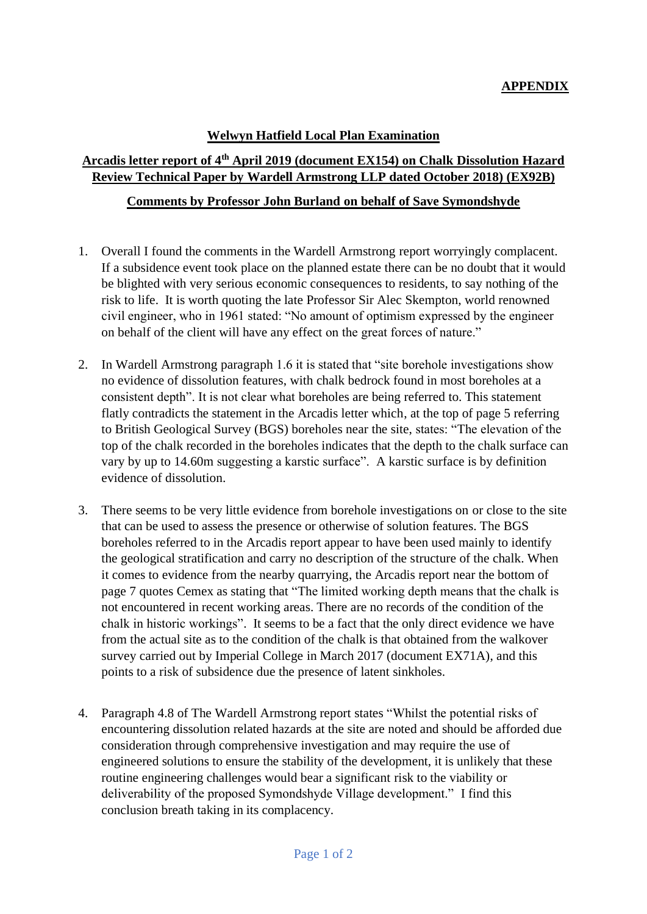## **APPENDIX**

## **Welwyn Hatfield Local Plan Examination**

## **Arcadis letter report of 4th April 2019 (document EX154) on Chalk Dissolution Hazard Review Technical Paper by Wardell Armstrong LLP dated October 2018) (EX92B)**

## **Comments by Professor John Burland on behalf of Save Symondshyde**

- 1. Overall I found the comments in the Wardell Armstrong report worryingly complacent. If a subsidence event took place on the planned estate there can be no doubt that it would be blighted with very serious economic consequences to residents, to say nothing of the risk to life. It is worth quoting the late Professor Sir Alec Skempton, world renowned civil engineer, who in 1961 stated: "No amount of optimism expressed by the engineer on behalf of the client will have any effect on the great forces of nature."
- 2. In Wardell Armstrong paragraph 1.6 it is stated that "site borehole investigations show no evidence of dissolution features, with chalk bedrock found in most boreholes at a consistent depth". It is not clear what boreholes are being referred to. This statement flatly contradicts the statement in the Arcadis letter which, at the top of page 5 referring to British Geological Survey (BGS) boreholes near the site, states: "The elevation of the top of the chalk recorded in the boreholes indicates that the depth to the chalk surface can vary by up to 14.60m suggesting a karstic surface". A karstic surface is by definition evidence of dissolution.
- 3. There seems to be very little evidence from borehole investigations on or close to the site that can be used to assess the presence or otherwise of solution features. The BGS boreholes referred to in the Arcadis report appear to have been used mainly to identify the geological stratification and carry no description of the structure of the chalk. When it comes to evidence from the nearby quarrying, the Arcadis report near the bottom of page 7 quotes Cemex as stating that "The limited working depth means that the chalk is not encountered in recent working areas. There are no records of the condition of the chalk in historic workings". It seems to be a fact that the only direct evidence we have from the actual site as to the condition of the chalk is that obtained from the walkover survey carried out by Imperial College in March 2017 (document EX71A), and this points to a risk of subsidence due the presence of latent sinkholes.
- 4. Paragraph 4.8 of The Wardell Armstrong report states "Whilst the potential risks of encountering dissolution related hazards at the site are noted and should be afforded due consideration through comprehensive investigation and may require the use of engineered solutions to ensure the stability of the development, it is unlikely that these routine engineering challenges would bear a significant risk to the viability or deliverability of the proposed Symondshyde Village development." I find this conclusion breath taking in its complacency.